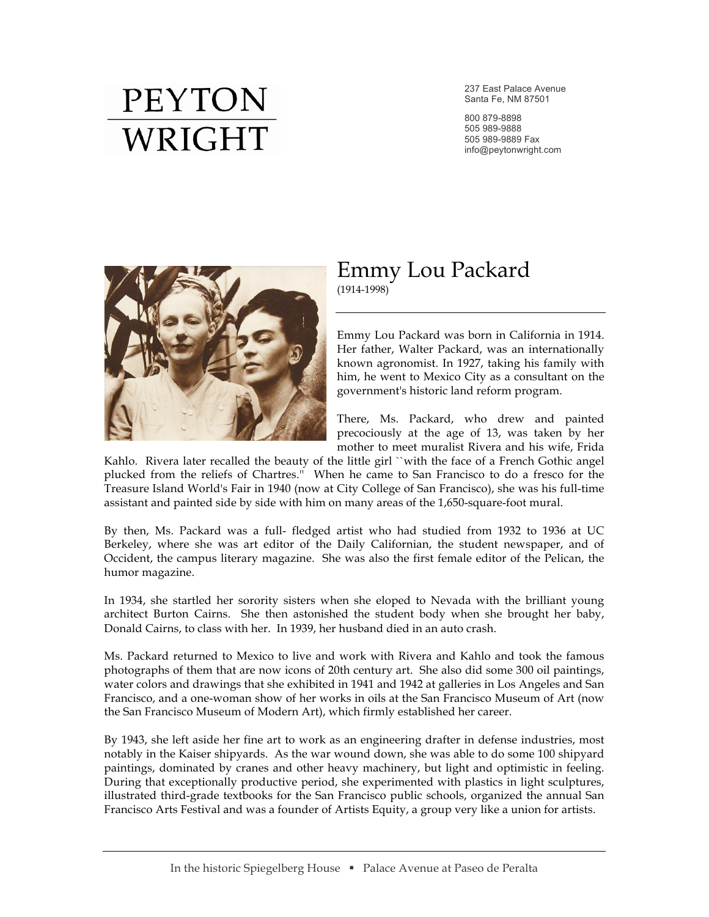## **PEYTON** WRIGHT

237 East Palace Avenue Santa Fe, NM 87501

800 879-8898 505 989-9888 505 989-9889 Fax info@peytonwright.com



## Emmy Lou Packard (1914-1998)

Emmy Lou Packard was born in California in 1914. Her father, Walter Packard, was an internationally known agronomist. In 1927, taking his family with him, he went to Mexico City as a consultant on the government's historic land reform program.

There, Ms. Packard, who drew and painted precociously at the age of 13, was taken by her mother to meet muralist Rivera and his wife, Frida

Kahlo. Rivera later recalled the beauty of the little girl ``with the face of a French Gothic angel plucked from the reliefs of Chartres.'' When he came to San Francisco to do a fresco for the Treasure Island World's Fair in 1940 (now at City College of San Francisco), she was his full-time assistant and painted side by side with him on many areas of the 1,650-square-foot mural.

By then, Ms. Packard was a full- fledged artist who had studied from 1932 to 1936 at UC Berkeley, where she was art editor of the Daily Californian, the student newspaper, and of Occident, the campus literary magazine. She was also the first female editor of the Pelican, the humor magazine.

In 1934, she startled her sorority sisters when she eloped to Nevada with the brilliant young architect Burton Cairns. She then astonished the student body when she brought her baby, Donald Cairns, to class with her. In 1939, her husband died in an auto crash.

Ms. Packard returned to Mexico to live and work with Rivera and Kahlo and took the famous photographs of them that are now icons of 20th century art. She also did some 300 oil paintings, water colors and drawings that she exhibited in 1941 and 1942 at galleries in Los Angeles and San Francisco, and a one-woman show of her works in oils at the San Francisco Museum of Art (now the San Francisco Museum of Modern Art), which firmly established her career.

By 1943, she left aside her fine art to work as an engineering drafter in defense industries, most notably in the Kaiser shipyards. As the war wound down, she was able to do some 100 shipyard paintings, dominated by cranes and other heavy machinery, but light and optimistic in feeling. During that exceptionally productive period, she experimented with plastics in light sculptures, illustrated third-grade textbooks for the San Francisco public schools, organized the annual San Francisco Arts Festival and was a founder of Artists Equity, a group very like a union for artists.